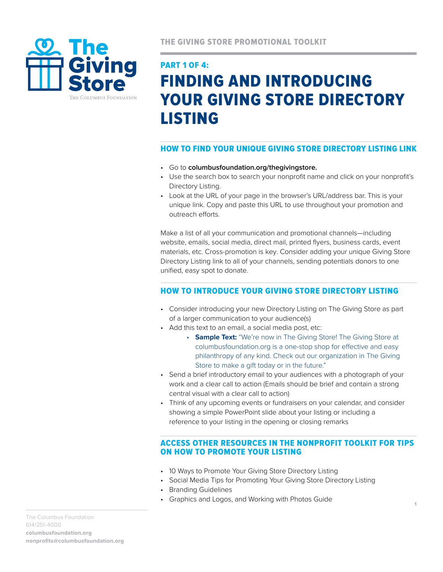

# PART 1 of 4: FINDING AND INTRODUCING YOUR GIVING STORE DIRECTORY LISTING

## how to find your unique giving store directory listing link

- Go to **columbusfoundation.org/thegivingstore.**
- Use the search box to search your nonprofit name and click on your nonprofit's Directory Listing.
- Look at the URL of your page in the browser's URL/address bar. This is your unique link. Copy and paste this URL to use throughout your promotion and outreach efforts.

Make a list of all your communication and promotional channels-including website, emails, social media, direct mail, printed flyers, business cards, event materials, etc. Cross-promotion is key. Consider adding your unique Giving Store Directory Listing link to all of your channels, sending potentials donors to one unified, easy spot to donate.

## how to IntroducE Your Giving Store Directory Listing

- Consider introducing your new Directory Listing on The Giving Store as part of a larger communication to your audience(s)
- Add this text to an email, a social media post, etc:
	- **Sample Text:** "We're now in The Giving Store! The Giving Store at columbusfoundation.org is a one-stop shop for effective and easy philanthropy of any kind. Check out our organization in The Giving Store to make a gift today or in the future."
- Send a brief introductory email to your audiences with a photograph of your work and a clear call to action (Emails should be brief and contain a strong central visual with a clear call to action)
- Think of any upcoming events or fundraisers on your calendar, and consider showing a simple PowerPoint slide about your listing or including a reference to your listing in the opening or closing remarks

#### Access other resources in the Nonprofit Toolkit for tips on how to promote your listing

- 10 Ways to Promote Your Giving Store Directory Listing
- Social Media Tips for Promoting Your Giving Store Directory Listing
- Branding Guidelines
- Graphics and Logos, and Working with Photos Guide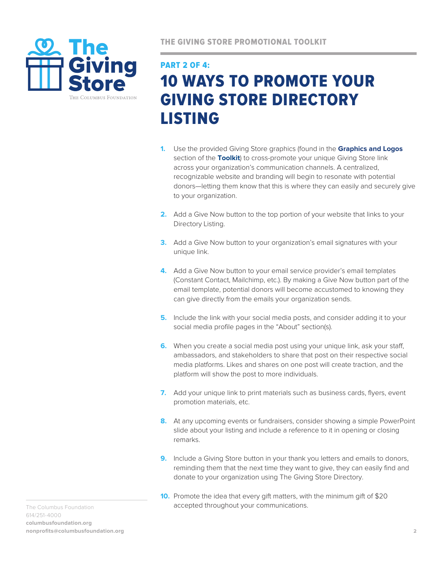

# PART 2 OF 4: 10 WAYS TO PROMOTE YOUR GIVING STORE DIRECTORY LISTING

- **1.** Use the provided Giving Store graphics (found in the **Graphics and Logos** section of the **[Toolkit](http://columbusfoundation.org/nonprofit-center/toolkit)**) to cross-promote your unique Giving Store link across your organization's communication channels. A centralized, recognizable website and branding will begin to resonate with potential donors—letting them know that this is where they can easily and securely give to your organization.
- **2.** Add a Give Now button to the top portion of your website that links to your Directory Listing.
- **3.** Add a Give Now button to your organization's email signatures with your unique link.
- **4.** Add a Give Now button to your email service provider's email templates (Constant Contact, Mailchimp, etc.). By making a Give Now button part of the email template, potential donors will become accustomed to knowing they can give directly from the emails your organization sends.
- **5.** Include the link with your social media posts, and consider adding it to your social media profile pages in the "About" section(s).
- **6.** When you create a social media post using your unique link, ask your staff, ambassadors, and stakeholders to share that post on their respective social media platforms. Likes and shares on one post will create traction, and the platform will show the post to more individuals.
- **7.** Add your unique link to print materials such as business cards, flyers, event promotion materials, etc.
- **8.** At any upcoming events or fundraisers, consider showing a simple PowerPoint slide about your listing and include a reference to it in opening or closing remarks.
- **9.** Include a Giving Store button in your thank you letters and emails to donors, reminding them that the next time they want to give, they can easily find and donate to your organization using The Giving Store Directory.
- **10.** Promote the idea that every gift matters, with the minimum gift of \$20 accepted throughout your communications.

The Columbus Foundation 614/251-4000 **columbusfoundation.org nonprofits@columbusfoundation.org**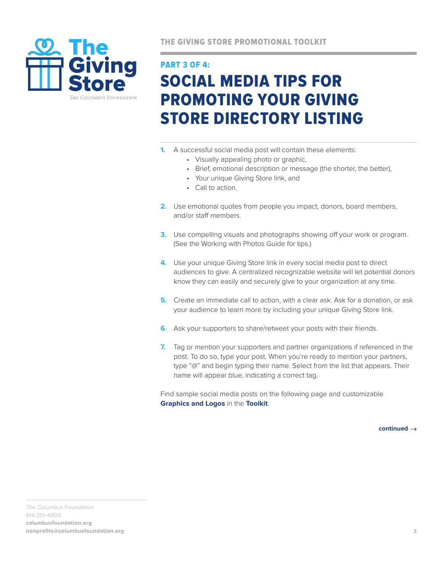

THE GIVING STORE PROMOTIONAL TOOLKIT

# PART 3 OF 4: SOCIAL MEDIA TIPS FOR PROMOTING YOUR GIVING STORE DIRECTORY LISTING

- **1.** A successful social media post will contain these elements:
	- Visually appealing photo or graphic,
	- Brief, emotional description or message (the shorter, the better),
	- Your unique Giving Store link, and
	- Call to action.
- **2.** Use emotional quotes from people you impact, donors, board members, and/or staff members.
- **3.** Use compelling visuals and photographs showing off your work or program. (See the Working with Photos Guide for tips.)
- **4.** Use your unique Giving Store link in every social media post to direct audiences to give. A centralized recognizable website will let potential donors know they can easily and securely give to your organization at any time.
- **5.** Create an immediate call to action, with a clear ask. Ask for a donation, or ask your audience to learn more by including your unique Giving Store link.
- **6.** Ask your supporters to share/retweet your posts with their friends.
- **7.** Tag or mention your supporters and partner organizations if referenced in the post. To do so, type your post. When you're ready to mention your partners, type "@" and begin typing their name. Select from the list that appears. Their name will appear blue, indicating a correct tag.

Find sample social media posts on the following page and customizable **Graphics and Logos** in the **[Toolkit](http://columbusfoundation.org/nonprofit-center/toolkit)**.

**continued**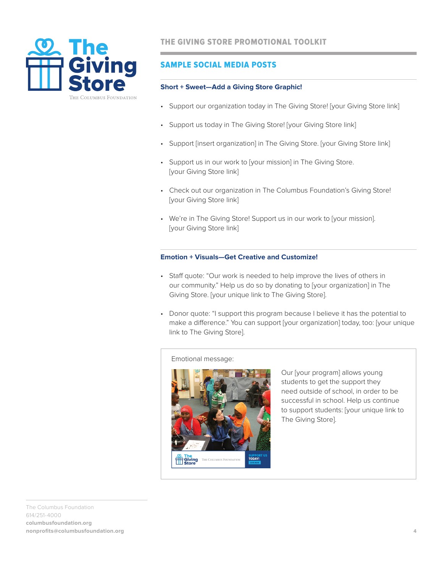

## SAMPLE SOCIAL MEDIA POSTS

#### **Short + Sweet—Add a Giving Store Graphic!**

- Support our organization today in The Giving Store! [your Giving Store link]
- Support us today in The Giving Store! [your Giving Store link]
- Support [insert organization] in The Giving Store. [your Giving Store link]
- Support us in our work to [your mission] in The Giving Store. [your Giving Store link]
- Check out our organization in The Columbus Foundation's Giving Store! [your Giving Store link]
- We're in The Giving Store! Support us in our work to [your mission]. [your Giving Store link]

#### **Emotion + Visuals—Get Creative and Customize!**

- Staff quote: "Our work is needed to help improve the lives of others in our community." Help us do so by donating to [your organization] in The Giving Store. [your unique link to The Giving Store].
- Donor quote: "I support this program because I believe it has the potential to make a difference." You can support [your organization] today, too: [your unique link to The Giving Store].

#### Emotional message:



Our [your program] allows young students to get the support they need outside of school, in order to be successful in school. Help us continue to support students: [your unique link to The Giving Store].

The Columbus Foundation 614/251-4000 **columbusfoundation.org nonprofits@columbusfoundation.org**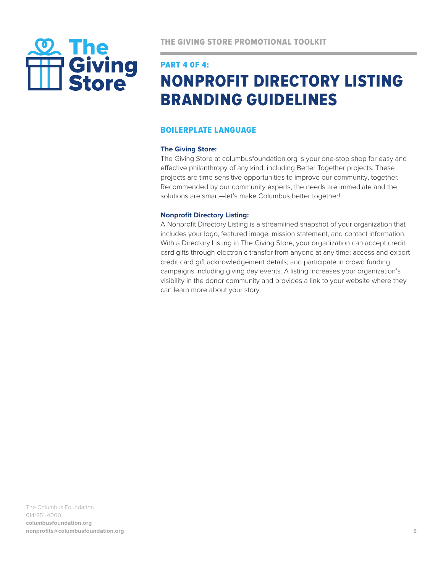

#### PART 4 0F 4:

# NONPROFIT DIRECTORY LISTING BRANDING GUIDELINES

## BOILERPLATE LANGUAGE

#### **The Giving Store:**

The Giving Store at columbusfoundation.org is your one-stop shop for easy and effective philanthropy of any kind, including Better Together projects. These projects are time-sensitive opportunities to improve our community, together. Recommended by our community experts, the needs are immediate and the solutions are smart—let's make Columbus better together!

#### **Nonprofit Directory Listing:**

A Nonprofit Directory Listing is a streamlined snapshot of your organization that includes your logo, featured image, mission statement, and contact information. With a Directory Listing in The Giving Store, your organization can accept credit card gifts through electronic transfer from anyone at any time; access and export credit card gift acknowledgement details; and participate in crowd funding campaigns including giving day events. A listing increases your organization's visibility in the donor community and provides a link to your website where they can learn more about your story.

The Columbus Foundation 614/251-4000 **columbusfoundation.org nonprofits@columbusfoundation.org**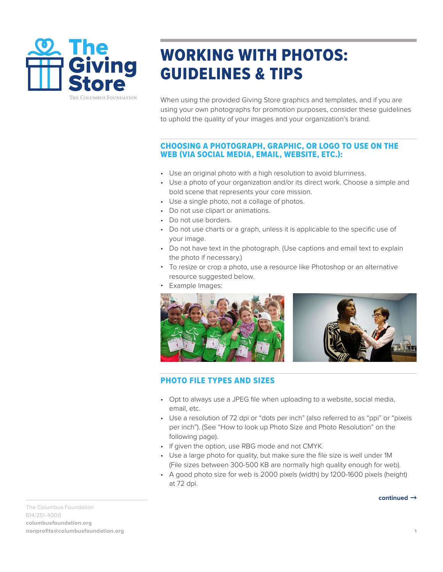

# WORKING WITH PHOTOS: GUIDELINES & TIPS

When using the provided Giving Store graphics and templates, and if you are using your own photographs for promotion purposes, consider these guidelines to uphold the quality of your images and your organization's brand.

#### CHOOSING A PHOTOGRAPH, GRAPHIC, OR LOGO TO USE ON THE WEB (VIA SOCIAL MEDIA, EMAIL, WEBSITE, ETC.):

- Use an original photo with a high resolution to avoid blurriness.
- Use a photo of your organization and/or its direct work. Choose a simple and bold scene that represents your core mission.
- Use a single photo, not a collage of photos.
- Do not use clipart or animations.
- Do not use borders.
- Do not use charts or a graph, unless it is applicable to the specific use of your image.
- Do not have text in the photograph. (Use captions and email text to explain the photo if necessary.)
- To resize or crop a photo, use a resource like Photoshop or an alternative resource suggested below.
- Example Images:



#### l PHOTO FILE TYPES AND SIZES

- Opt to always use a JPEG file when uploading to a website, social media, email, etc.
- Use a resolution of 72 dpi or "dots per inch" (also referred to as "ppi" or "pixels per inch"). (See "How to look up Photo Size and Photo Resolution" on the following page).
- If given the option, use RBG mode and not CMYK.
- Use a large photo for quality, but make sure the file size is well under 1M (File sizes between 300-500 KB are normally high quality enough for web).
- A good photo size for web is 2000 pixels (width) by 1200-1600 pixels (height) at 72 dpi.

The Columbus Foundation 614/251-4000 **columbusfoundation.org nonprofits@columbusfoundation.org 1** **continued**